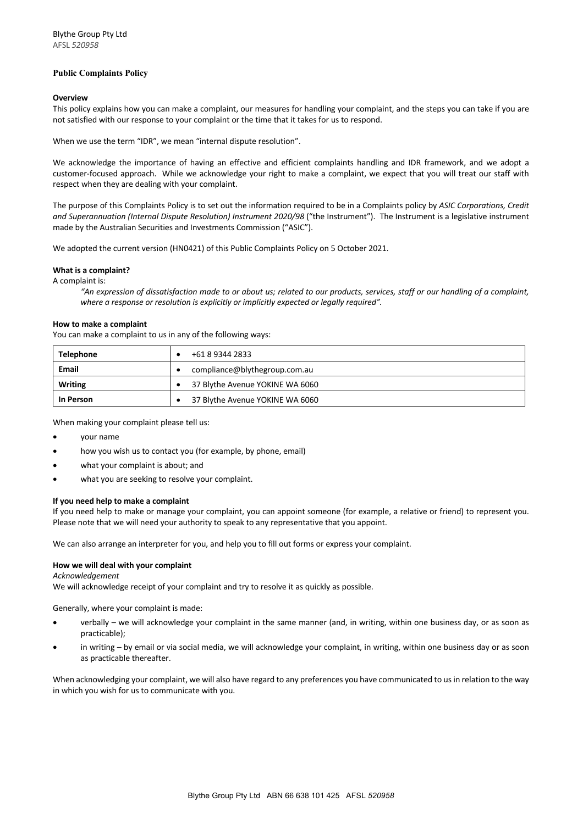# **Public Complaints Policy**

## **Overview**

This policy explains how you can make a complaint, our measures for handling your complaint, and the steps you can take if you are not satisfied with our response to your complaint or the time that it takes for us to respond.

When we use the term "IDR", we mean "internal dispute resolution".

We acknowledge the importance of having an effective and efficient complaints handling and IDR framework, and we adopt a customer-focused approach. While we acknowledge your right to make a complaint, we expect that you will treat our staff with respect when they are dealing with your complaint.

The purpose of this Complaints Policy is to set out the information required to be in a Complaints policy by *ASIC Corporations, Credit and Superannuation (Internal Dispute Resolution) Instrument 2020/98* ("the Instrument"). The Instrument is a legislative instrument made by the Australian Securities and Investments Commission ("ASIC").

We adopted the current version (HN0421) of this Public Complaints Policy on 5 October 2021.

#### **What is a complaint?**

A complaint is:

*"An expression of dissatisfaction made to or about us; related to our products, services, staff or our handling of a complaint, where a response or resolution is explicitly or implicitly expected or legally required".*

#### **How to make a complaint**

You can make a complaint to us in any of the following ways:

| <b>Telephone</b> | +61 8 9344 2833                 |
|------------------|---------------------------------|
| Email            | compliance@blythegroup.com.au   |
| Writing          | 37 Blythe Avenue YOKINE WA 6060 |
| <b>In Person</b> | 37 Blythe Avenue YOKINE WA 6060 |

When making your complaint please tell us:

- your name
- how you wish us to contact you (for example, by phone, email)
- what your complaint is about; and
- what you are seeking to resolve your complaint.

#### **If you need help to make a complaint**

If you need help to make or manage your complaint, you can appoint someone (for example, a relative or friend) to represent you. Please note that we will need your authority to speak to any representative that you appoint.

We can also arrange an interpreter for you, and help you to fill out forms or express your complaint.

# **How we will deal with your complaint**

#### *Acknowledgement*

We will acknowledge receipt of your complaint and try to resolve it as quickly as possible.

Generally, where your complaint is made:

- verbally we will acknowledge your complaint in the same manner (and, in writing, within one business day, or as soon as practicable);
- in writing by email or via social media, we will acknowledge your complaint, in writing, within one business day or as soon as practicable thereafter.

When acknowledging your complaint, we will also have regard to any preferences you have communicated to us in relation to the way in which you wish for us to communicate with you.